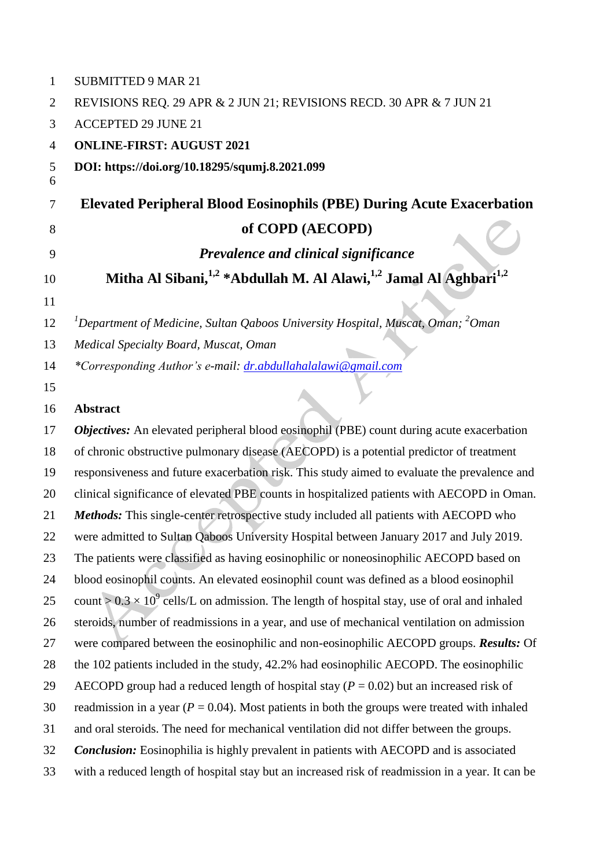| $\mathbf{1}$   | <b>SUBMITTED 9 MAR 21</b>                                                                             |  |  |  |  |
|----------------|-------------------------------------------------------------------------------------------------------|--|--|--|--|
| $\overline{2}$ | REVISIONS REQ. 29 APR & 2 JUN 21; REVISIONS RECD. 30 APR & 7 JUN 21                                   |  |  |  |  |
| 3              | <b>ACCEPTED 29 JUNE 21</b>                                                                            |  |  |  |  |
| $\overline{4}$ | <b>ONLINE-FIRST: AUGUST 2021</b>                                                                      |  |  |  |  |
| 5<br>6         | DOI: https://doi.org/10.18295/squmj.8.2021.099                                                        |  |  |  |  |
| 7              | <b>Elevated Peripheral Blood Eosinophils (PBE) During Acute Exacerbation</b>                          |  |  |  |  |
| 8              | of COPD (AECOPD)                                                                                      |  |  |  |  |
| 9              | Prevalence and clinical significance                                                                  |  |  |  |  |
| 10             | Mitha Al Sibani, <sup>1,2</sup> *Abdullah M. Al Alawi, <sup>1,2</sup> Jamal Al Aghbari <sup>1,2</sup> |  |  |  |  |
| 11             |                                                                                                       |  |  |  |  |
| 12             | <sup>1</sup> Department of Medicine, Sultan Qaboos University Hospital, Muscat, Oman; $^{2}$ Oman     |  |  |  |  |
| 13             | Medical Specialty Board, Muscat, Oman                                                                 |  |  |  |  |
| 14             | *Corresponding Author's e-mail: dr.abdullahalalawi@gmail.com                                          |  |  |  |  |
| 15             |                                                                                                       |  |  |  |  |
| 16             | <b>Abstract</b>                                                                                       |  |  |  |  |
| 17             | Objectives: An elevated peripheral blood eosinophil (PBE) count during acute exacerbation             |  |  |  |  |
| 18             | of chronic obstructive pulmonary disease (AECOPD) is a potential predictor of treatment               |  |  |  |  |
| 19             | responsiveness and future exacerbation risk. This study aimed to evaluate the prevalence and          |  |  |  |  |
| 20             | clinical significance of elevated PBE counts in hospitalized patients with AECOPD in Oman.            |  |  |  |  |
| 21             | Methods: This single-center retrospective study included all patients with AECOPD who                 |  |  |  |  |
| 22             | were admitted to Sultan Qaboos University Hospital between January 2017 and July 2019.                |  |  |  |  |
| 23             | The patients were classified as having eosinophilic or noneosinophilic AECOPD based on                |  |  |  |  |
| 24             | blood eosinophil counts. An elevated eosinophil count was defined as a blood eosinophil               |  |  |  |  |
| 25             | count > $0.3 \times 10^9$ cells/L on admission. The length of hospital stay, use of oral and inhaled  |  |  |  |  |
| 26             | steroids, number of readmissions in a year, and use of mechanical ventilation on admission            |  |  |  |  |
| 27             | were compared between the eosinophilic and non-eosinophilic AECOPD groups. <i>Results:</i> Of         |  |  |  |  |
| 28             | the 102 patients included in the study, 42.2% had eosinophilic AECOPD. The eosinophilic               |  |  |  |  |
| 29             | AECOPD group had a reduced length of hospital stay ( $P = 0.02$ ) but an increased risk of            |  |  |  |  |
| 30             | readmission in a year ( $P = 0.04$ ). Most patients in both the groups were treated with inhaled      |  |  |  |  |
| 31             | and oral steroids. The need for mechanical ventilation did not differ between the groups.             |  |  |  |  |
| 32             | <b>Conclusion:</b> Eosinophilia is highly prevalent in patients with AECOPD and is associated         |  |  |  |  |
| 33             | with a reduced length of hospital stay but an increased risk of readmission in a year. It can be      |  |  |  |  |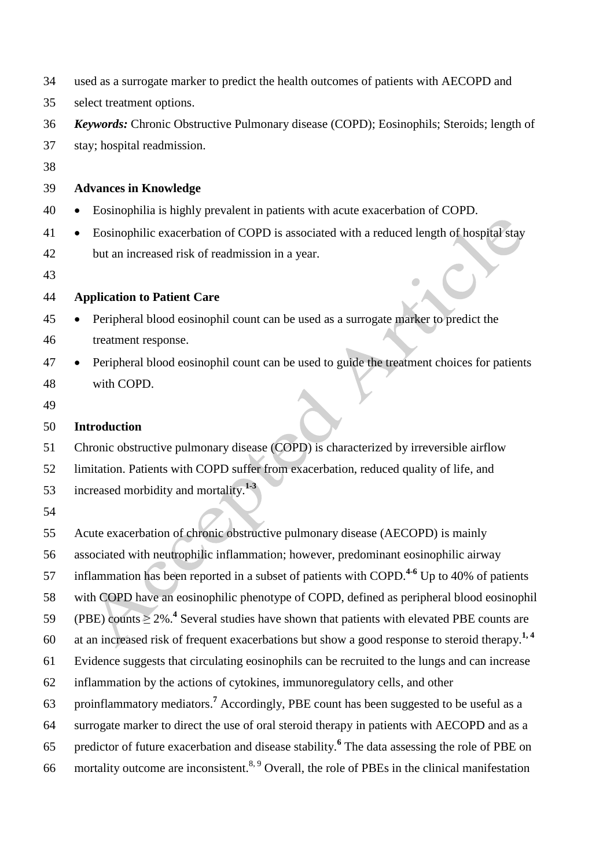| 34 | used as a surrogate marker to predict the health outcomes of patients with AECOPD and                       |  |  |  |  |  |
|----|-------------------------------------------------------------------------------------------------------------|--|--|--|--|--|
| 35 | select treatment options.                                                                                   |  |  |  |  |  |
| 36 | Keywords: Chronic Obstructive Pulmonary disease (COPD); Eosinophils; Steroids; length of                    |  |  |  |  |  |
| 37 | stay; hospital readmission.                                                                                 |  |  |  |  |  |
| 38 |                                                                                                             |  |  |  |  |  |
| 39 | <b>Advances in Knowledge</b>                                                                                |  |  |  |  |  |
| 40 | Eosinophilia is highly prevalent in patients with acute exacerbation of COPD.                               |  |  |  |  |  |
| 41 | Eosinophilic exacerbation of COPD is associated with a reduced length of hospital stay                      |  |  |  |  |  |
| 42 | but an increased risk of readmission in a year.                                                             |  |  |  |  |  |
| 43 |                                                                                                             |  |  |  |  |  |
| 44 | <b>Application to Patient Care</b>                                                                          |  |  |  |  |  |
| 45 | Peripheral blood eosinophil count can be used as a surrogate marker to predict the                          |  |  |  |  |  |
| 46 | treatment response.                                                                                         |  |  |  |  |  |
| 47 | Peripheral blood eosinophil count can be used to guide the treatment choices for patients                   |  |  |  |  |  |
| 48 | with COPD.                                                                                                  |  |  |  |  |  |
| 49 |                                                                                                             |  |  |  |  |  |
| 50 | <b>Introduction</b>                                                                                         |  |  |  |  |  |
| 51 | Chronic obstructive pulmonary disease (COPD) is characterized by irreversible airflow                       |  |  |  |  |  |
| 52 | limitation. Patients with COPD suffer from exacerbation, reduced quality of life, and                       |  |  |  |  |  |
| 53 | increased morbidity and mortality. <sup>1-3</sup>                                                           |  |  |  |  |  |
| 54 |                                                                                                             |  |  |  |  |  |
| 55 | Acute exacerbation of chronic obstructive pulmonary disease (AECOPD) is mainly                              |  |  |  |  |  |
| 56 | associated with neutrophilic inflammation; however, predominant eosinophilic airway                         |  |  |  |  |  |
| 57 | inflammation has been reported in a subset of patients with COPD. <sup>4-6</sup> Up to 40% of patients      |  |  |  |  |  |
| 58 | with COPD have an eosinophilic phenotype of COPD, defined as peripheral blood eosinophil                    |  |  |  |  |  |
| 59 | (PBE) counts $\geq$ 2%. <sup>4</sup> Several studies have shown that patients with elevated PBE counts are  |  |  |  |  |  |
| 60 | at an increased risk of frequent exacerbations but show a good response to steroid therapy. <sup>1, 4</sup> |  |  |  |  |  |
| 61 | Evidence suggests that circulating eosinophils can be recruited to the lungs and can increase               |  |  |  |  |  |
| 62 | inflammation by the actions of cytokines, immunoregulatory cells, and other                                 |  |  |  |  |  |
| 63 | proinflammatory mediators. <sup>7</sup> Accordingly, PBE count has been suggested to be useful as a         |  |  |  |  |  |
| 64 | surrogate marker to direct the use of oral steroid therapy in patients with AECOPD and as a                 |  |  |  |  |  |
| 65 | predictor of future exacerbation and disease stability. <sup>6</sup> The data assessing the role of PBE on  |  |  |  |  |  |
| 66 | mortality outcome are inconsistent. <sup>8, 9</sup> Overall, the role of PBEs in the clinical manifestation |  |  |  |  |  |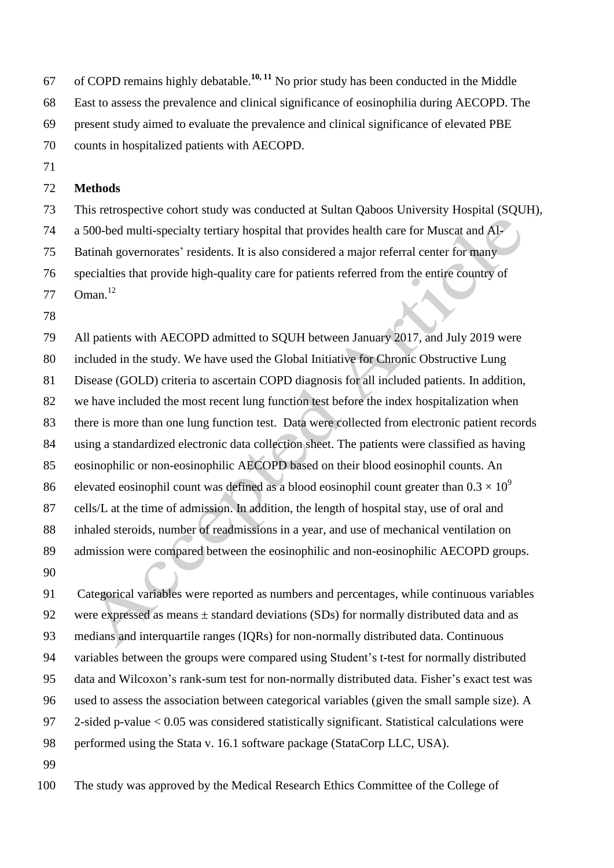67 of COPD remains highly debatable.<sup>10, 11</sup> No prior study has been conducted in the Middle

East to assess the prevalence and clinical significance of eosinophilia during AECOPD. The

present study aimed to evaluate the prevalence and clinical significance of elevated PBE

counts in hospitalized patients with AECOPD.

## **Methods**

This retrospective cohort study was conducted at Sultan Qaboos University Hospital (SQUH),

a 500-bed multi-specialty tertiary hospital that provides health care for Muscat and Al-

Batinah governorates' residents. It is also considered a major referral center for many

 specialties that provide high-quality care for patients referred from the entire country of 77 Oman.<sup>12</sup>

 All patients with AECOPD admitted to SQUH between January 2017, and July 2019 were included in the study. We have used the Global Initiative for Chronic Obstructive Lung Disease (GOLD) criteria to ascertain COPD diagnosis for all included patients. In addition, we have included the most recent lung function test before the index hospitalization when there is more than one lung function test. Data were collected from electronic patient records using a standardized electronic data collection sheet. The patients were classified as having eosinophilic or non-eosinophilic AECOPD based on their blood eosinophil counts. An elevated eosinophil count was defined as a blood eosinophil count greater than  $0.3 \times 10^9$  cells/L at the time of admission. In addition, the length of hospital stay, use of oral and inhaled steroids, number of readmissions in a year, and use of mechanical ventilation on admission were compared between the eosinophilic and non-eosinophilic AECOPD groups. 

 Categorical variables were reported as numbers and percentages, while continuous variables 92 were expressed as means  $\pm$  standard deviations (SDs) for normally distributed data and as medians and interquartile ranges (IQRs) for non-normally distributed data. Continuous variables between the groups were compared using Student's t-test for normally distributed data and Wilcoxon's rank-sum test for non-normally distributed data. Fisher's exact test was used to assess the association between categorical variables (given the small sample size). A 2-sided p-value < 0.05 was considered statistically significant. Statistical calculations were 98 performed using the Stata v. 16.1 software package (StataCorp LLC, USA). 

The study was approved by the Medical Research Ethics Committee of the College of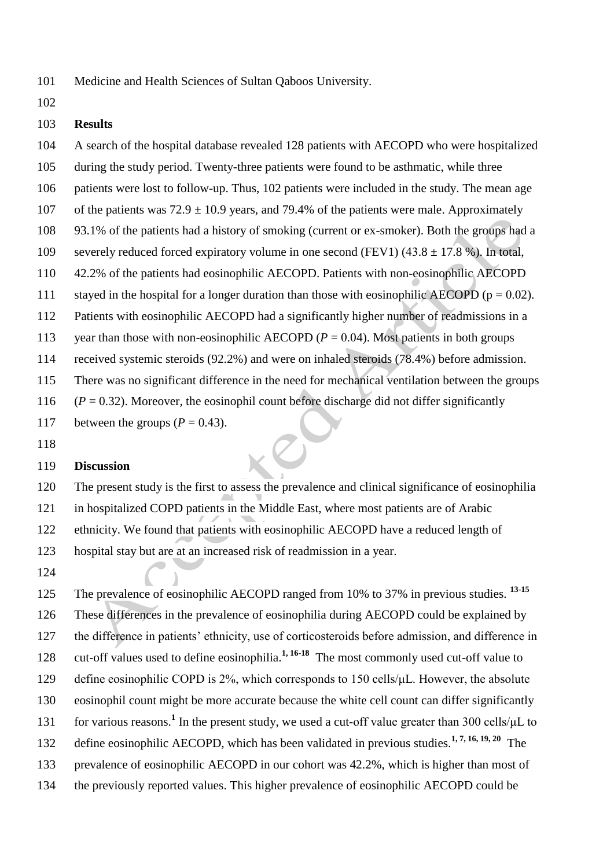Medicine and Health Sciences of Sultan Qaboos University.

### **Results**

- A search of the hospital database revealed 128 patients with AECOPD who were hospitalized during the study period. Twenty-three patients were found to be asthmatic, while three patients were lost to follow-up. Thus, 102 patients were included in the study. The mean age 107 of the patients was  $72.9 \pm 10.9$  years, and 79.4% of the patients were male. Approximately 93.1% of the patients had a history of smoking (current or ex-smoker). Both the groups had a 109 severely reduced forced expiratory volume in one second (FEV1) (43.8  $\pm$  17.8 %). In total,
- 42.2% of the patients had eosinophilic AECOPD. Patients with non-eosinophilic AECOPD
- 111 stayed in the hospital for a longer duration than those with eosinophilic AECOPD ( $p = 0.02$ ).
- Patients with eosinophilic AECOPD had a significantly higher number of readmissions in a
- 113 year than those with non-eosinophilic AECOPD  $(P = 0.04)$ . Most patients in both groups
- received systemic steroids (92.2%) and were on inhaled steroids (78.4%) before admission.
- There was no significant difference in the need for mechanical ventilation between the groups
- 116  $(P = 0.32)$ . Moreover, the eosinophil count before discharge did not differ significantly

117 between the groups  $(P = 0.43)$ .

### **Discussion**

 The present study is the first to assess the prevalence and clinical significance of eosinophilia in hospitalized COPD patients in the Middle East, where most patients are of Arabic ethnicity. We found that patients with eosinophilic AECOPD have a reduced length of hospital stay but are at an increased risk of readmission in a year.

125 The prevalence of eosinophilic AECOPD ranged from 10% to 37% in previous studies.<sup>13-15</sup> These differences in the prevalence of eosinophilia during AECOPD could be explained by the difference in patients' ethnicity, use of corticosteroids before admission, and difference in 128 cut-off values used to define eosinophilia.<sup>1, 16-18</sup> The most commonly used cut-off value to define eosinophilic COPD is 2%, which corresponds to 150 cells/μL. However, the absolute eosinophil count might be more accurate because the white cell count can differ significantly 131 for various reasons.<sup>1</sup> In the present study, we used a cut-off value greater than 300 cells/μL to 132 define eosinophilic AECOPD, which has been validated in previous studies.<sup>1, 7, 16, 19, 20</sup> The prevalence of eosinophilic AECOPD in our cohort was 42.2%, which is higher than most of the previously reported values. This higher prevalence of eosinophilic AECOPD could be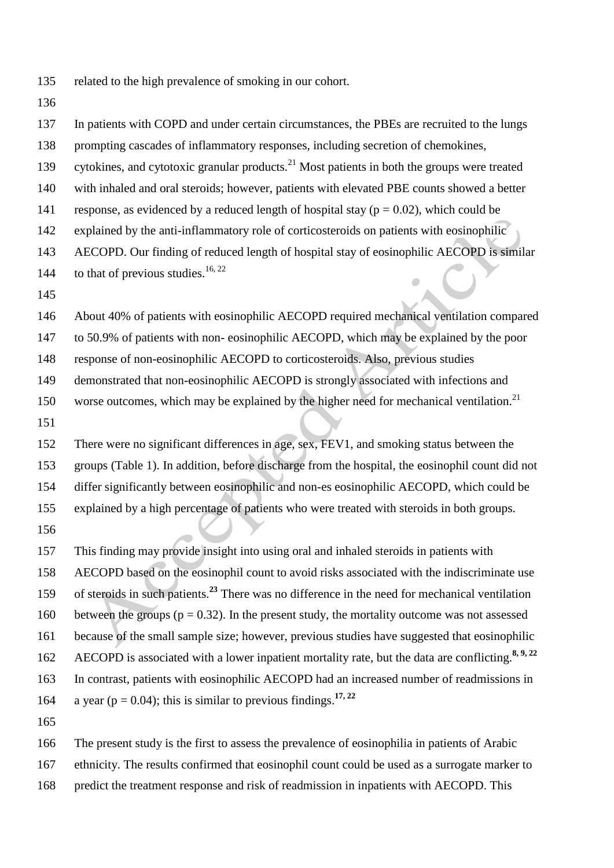related to the high prevalence of smoking in our cohort.

 In patients with COPD and under certain circumstances, the PBEs are recruited to the lungs prompting cascades of inflammatory responses, including secretion of chemokines, 139 cytokines, and cytotoxic granular products.<sup>21</sup> Most patients in both the groups were treated with inhaled and oral steroids; however, patients with elevated PBE counts showed a better 141 response, as evidenced by a reduced length of hospital stay ( $p = 0.02$ ), which could be explained by the anti-inflammatory role of corticosteroids on patients with eosinophilic AECOPD. Our finding of reduced length of hospital stay of eosinophilic AECOPD is similar 144 to that of previous studies.<sup>16, 22</sup> About 40% of patients with eosinophilic AECOPD required mechanical ventilation compared to 50.9% of patients with non- eosinophilic AECOPD, which may be explained by the poor response of non-eosinophilic AECOPD to corticosteroids. Also, previous studies demonstrated that non-eosinophilic AECOPD is strongly associated with infections and 150 worse outcomes, which may be explained by the higher need for mechanical ventilation.<sup>21</sup> There were no significant differences in age, sex, FEV1, and smoking status between the groups (Table 1). In addition, before discharge from the hospital, the eosinophil count did not differ significantly between eosinophilic and non-es eosinophilic AECOPD, which could be explained by a high percentage of patients who were treated with steroids in both groups. This finding may provide insight into using oral and inhaled steroids in patients with AECOPD based on the eosinophil count to avoid risks associated with the indiscriminate use 159 of steroids in such patients.<sup>23</sup> There was no difference in the need for mechanical ventilation 160 between the groups ( $p = 0.32$ ). In the present study, the mortality outcome was not assessed because of the small sample size; however, previous studies have suggested that eosinophilic 162 AECOPD is associated with a lower inpatient mortality rate, but the data are conflicting.<sup>8, 9, 22</sup> In contrast, patients with eosinophilic AECOPD had an increased number of readmissions in 164 a year ( $p = 0.04$ ); this is similar to previous findings.<sup>17, 22</sup> The present study is the first to assess the prevalence of eosinophilia in patients of Arabic

ethnicity. The results confirmed that eosinophil count could be used as a surrogate marker to

predict the treatment response and risk of readmission in inpatients with AECOPD. This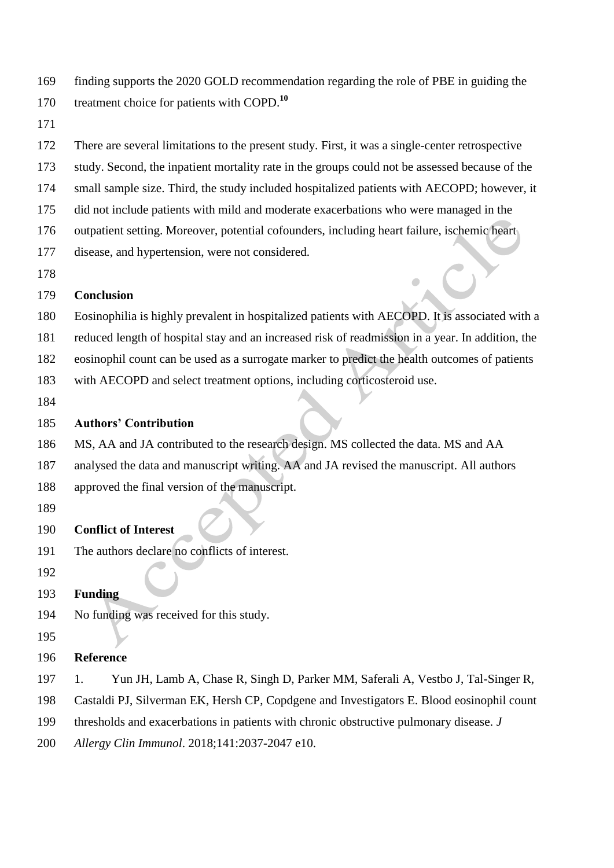| 169 | finding supports the 2020 GOLD recommendation regarding the role of PBE in guiding the |
|-----|----------------------------------------------------------------------------------------|
| 170 | treatment choice for patients with COPD. <sup>10</sup>                                 |

There are several limitations to the present study. First, it was a single-center retrospective

- study. Second, the inpatient mortality rate in the groups could not be assessed because of the
- small sample size. Third, the study included hospitalized patients with AECOPD; however, it
- did not include patients with mild and moderate exacerbations who were managed in the
- outpatient setting. Moreover, potential cofounders, including heart failure, ischemic heart
- disease, and hypertension, were not considered.
- 

### **Conclusion**

- Eosinophilia is highly prevalent in hospitalized patients with AECOPD. It is associated with a
- reduced length of hospital stay and an increased risk of readmission in a year. In addition, the
- eosinophil count can be used as a surrogate marker to predict the health outcomes of patients
- with AECOPD and select treatment options, including corticosteroid use.
- 

## **Authors' Contribution**

- MS, AA and JA contributed to the research design. MS collected the data. MS and AA
- analysed the data and manuscript writing. AA and JA revised the manuscript. All authors
- approved the final version of the manuscript.
- 

# **Conflict of Interest**

The authors declare no conflicts of interest.

## **Funding**

- No funding was received for this study.
- 

## **Reference**

- 1. Yun JH, Lamb A, Chase R, Singh D, Parker MM, Saferali A, Vestbo J, Tal-Singer R,
- Castaldi PJ, Silverman EK, Hersh CP, Copdgene and Investigators E. Blood eosinophil count
- thresholds and exacerbations in patients with chronic obstructive pulmonary disease. *J*
- *Allergy Clin Immunol*. 2018;141:2037-2047 e10.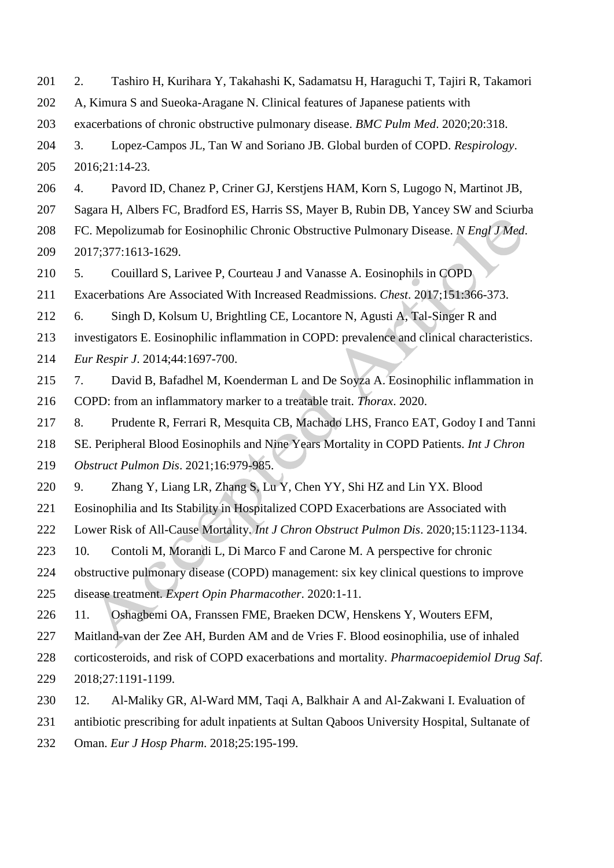| 201 | Tashiro H, Kurihara Y, Takahashi K, Sadamatsu H, Haraguchi T, Tajiri R, Takamori<br>2.         |  |  |  |  |
|-----|------------------------------------------------------------------------------------------------|--|--|--|--|
| 202 | A, Kimura S and Sueoka-Aragane N. Clinical features of Japanese patients with                  |  |  |  |  |
| 203 | exacerbations of chronic obstructive pulmonary disease. BMC Pulm Med. 2020;20:318.             |  |  |  |  |
| 204 | Lopez-Campos JL, Tan W and Soriano JB. Global burden of COPD. Respirology.<br>3.               |  |  |  |  |
| 205 | 2016;21:14-23.                                                                                 |  |  |  |  |
| 206 | Pavord ID, Chanez P, Criner GJ, Kerstjens HAM, Korn S, Lugogo N, Martinot JB,<br>4.            |  |  |  |  |
| 207 | Sagara H, Albers FC, Bradford ES, Harris SS, Mayer B, Rubin DB, Yancey SW and Sciurba          |  |  |  |  |
| 208 | FC. Mepolizumab for Eosinophilic Chronic Obstructive Pulmonary Disease. N Engl J Med.          |  |  |  |  |
| 209 | 2017;377:1613-1629.                                                                            |  |  |  |  |
| 210 | Couillard S, Larivee P, Courteau J and Vanasse A. Eosinophils in COPD<br>5.                    |  |  |  |  |
| 211 | Exacerbations Are Associated With Increased Readmissions. Chest. 2017;151:366-373.             |  |  |  |  |
| 212 | Singh D, Kolsum U, Brightling CE, Locantore N, Agusti A, Tal-Singer R and<br>6.                |  |  |  |  |
| 213 | investigators E. Eosinophilic inflammation in COPD: prevalence and clinical characteristics.   |  |  |  |  |
| 214 | Eur Respir J. 2014;44:1697-700.                                                                |  |  |  |  |
| 215 | David B, Bafadhel M, Koenderman L and De Soyza A. Eosinophilic inflammation in<br>7.           |  |  |  |  |
| 216 | COPD: from an inflammatory marker to a treatable trait. <i>Thorax</i> . 2020.                  |  |  |  |  |
| 217 | 8.<br>Prudente R, Ferrari R, Mesquita CB, Machado LHS, Franco EAT, Godoy I and Tanni           |  |  |  |  |
| 218 | SE. Peripheral Blood Eosinophils and Nine Years Mortality in COPD Patients. Int J Chron        |  |  |  |  |
| 219 | Obstruct Pulmon Dis. 2021;16:979-985.                                                          |  |  |  |  |
| 220 | Zhang Y, Liang LR, Zhang S, Lu Y, Chen YY, Shi HZ and Lin YX. Blood<br>9.                      |  |  |  |  |
| 221 | Eosinophilia and Its Stability in Hospitalized COPD Exacerbations are Associated with          |  |  |  |  |
| 222 | Lower Risk of All-Cause Mortality. Int J Chron Obstruct Pulmon Dis. 2020;15:1123-1134.         |  |  |  |  |
| 223 | Contoli M, Morandi L, Di Marco F and Carone M. A perspective for chronic<br>10.                |  |  |  |  |
| 224 | obstructive pulmonary disease (COPD) management: six key clinical questions to improve         |  |  |  |  |
| 225 | disease treatment. Expert Opin Pharmacother. 2020:1-11.                                        |  |  |  |  |
| 226 | Oshagbemi OA, Franssen FME, Braeken DCW, Henskens Y, Wouters EFM,<br>11.                       |  |  |  |  |
| 227 | Maitland-van der Zee AH, Burden AM and de Vries F. Blood eosinophilia, use of inhaled          |  |  |  |  |
| 228 | corticosteroids, and risk of COPD exacerbations and mortality. Pharmacoepidemiol Drug Saf.     |  |  |  |  |
| 229 | 2018;27:1191-1199.                                                                             |  |  |  |  |
| 230 | Al-Maliky GR, Al-Ward MM, Taqi A, Balkhair A and Al-Zakwani I. Evaluation of<br>12.            |  |  |  |  |
| 231 | antibiotic prescribing for adult inpatients at Sultan Qaboos University Hospital, Sultanate of |  |  |  |  |
| 232 | Oman. Eur J Hosp Pharm. 2018;25:195-199.                                                       |  |  |  |  |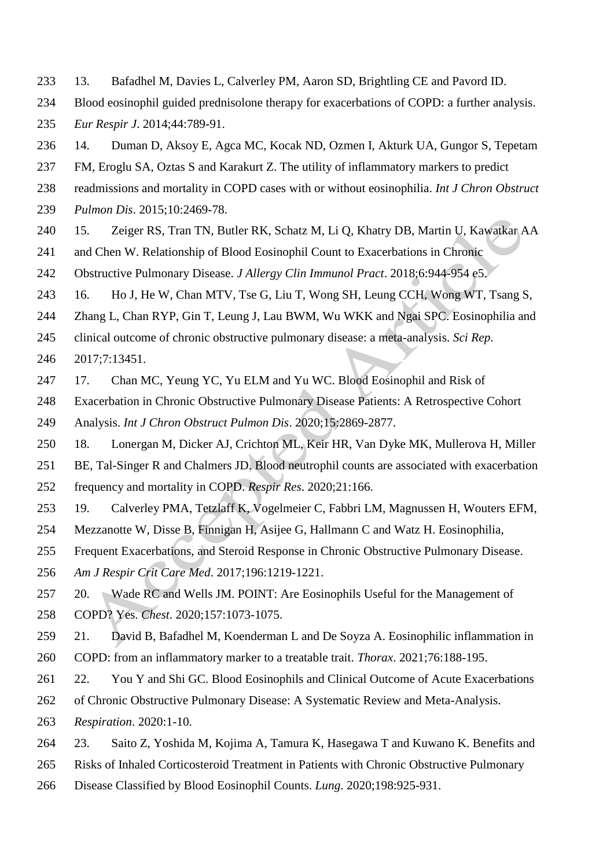- 13. Bafadhel M, Davies L, Calverley PM, Aaron SD, Brightling CE and Pavord ID.
- Blood eosinophil guided prednisolone therapy for exacerbations of COPD: a further analysis.
- *Eur Respir J*. 2014;44:789-91.
- 14. Duman D, Aksoy E, Agca MC, Kocak ND, Ozmen I, Akturk UA, Gungor S, Tepetam
- FM, Eroglu SA, Oztas S and Karakurt Z. The utility of inflammatory markers to predict
- readmissions and mortality in COPD cases with or without eosinophilia. *Int J Chron Obstruct*
- *Pulmon Dis*. 2015;10:2469-78.
- 15. Zeiger RS, Tran TN, Butler RK, Schatz M, Li Q, Khatry DB, Martin U, Kawatkar AA
- and Chen W. Relationship of Blood Eosinophil Count to Exacerbations in Chronic
- Obstructive Pulmonary Disease. *J Allergy Clin Immunol Pract*. 2018;6:944-954 e5.
- 16. Ho J, He W, Chan MTV, Tse G, Liu T, Wong SH, Leung CCH, Wong WT, Tsang S,
- Zhang L, Chan RYP, Gin T, Leung J, Lau BWM, Wu WKK and Ngai SPC. Eosinophilia and
- clinical outcome of chronic obstructive pulmonary disease: a meta-analysis. *Sci Rep*.
- 2017;7:13451.
- 17. Chan MC, Yeung YC, Yu ELM and Yu WC. Blood Eosinophil and Risk of
- Exacerbation in Chronic Obstructive Pulmonary Disease Patients: A Retrospective Cohort
- Analysis. *Int J Chron Obstruct Pulmon Dis*. 2020;15:2869-2877.
- 18. Lonergan M, Dicker AJ, Crichton ML, Keir HR, Van Dyke MK, Mullerova H, Miller
- BE, Tal-Singer R and Chalmers JD. Blood neutrophil counts are associated with exacerbation frequency and mortality in COPD. *Respir Res*. 2020;21:166.
- 19. Calverley PMA, Tetzlaff K, Vogelmeier C, Fabbri LM, Magnussen H, Wouters EFM,
- Mezzanotte W, Disse B, Finnigan H, Asijee G, Hallmann C and Watz H. Eosinophilia,
- Frequent Exacerbations, and Steroid Response in Chronic Obstructive Pulmonary Disease.
- *Am J Respir Crit Care Med*. 2017;196:1219-1221.
- 20. Wade RC and Wells JM. POINT: Are Eosinophils Useful for the Management of
- COPD? Yes. *Chest*. 2020;157:1073-1075.
- 21. David B, Bafadhel M, Koenderman L and De Soyza A. Eosinophilic inflammation in COPD: from an inflammatory marker to a treatable trait. *Thorax*. 2021;76:188-195.
- 22. You Y and Shi GC. Blood Eosinophils and Clinical Outcome of Acute Exacerbations
- of Chronic Obstructive Pulmonary Disease: A Systematic Review and Meta-Analysis.
- *Respiration*. 2020:1-10.
- 23. Saito Z, Yoshida M, Kojima A, Tamura K, Hasegawa T and Kuwano K. Benefits and
- Risks of Inhaled Corticosteroid Treatment in Patients with Chronic Obstructive Pulmonary
- Disease Classified by Blood Eosinophil Counts. *Lung*. 2020;198:925-931.